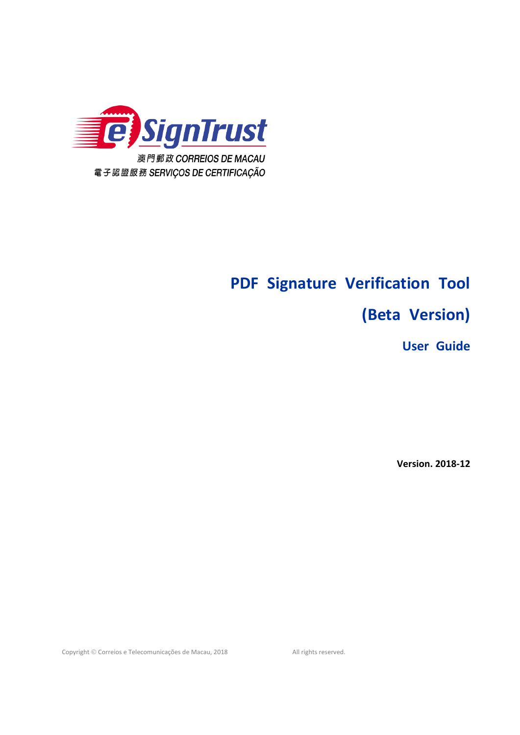

# **PDF Signature Verification Tool**

# **(Beta Version)**

**User Guide** 

**Version. 2018‐12** 

Copyright © Correios e Telecomunicações de Macau, 2018 All rights reserved.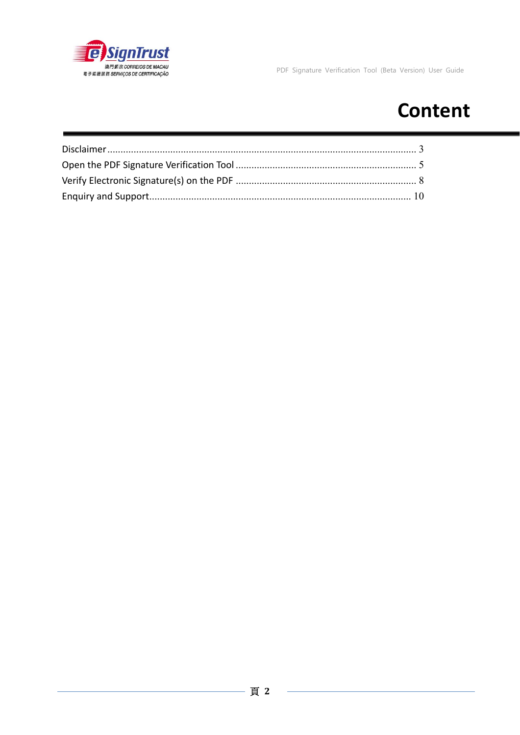

# **Content**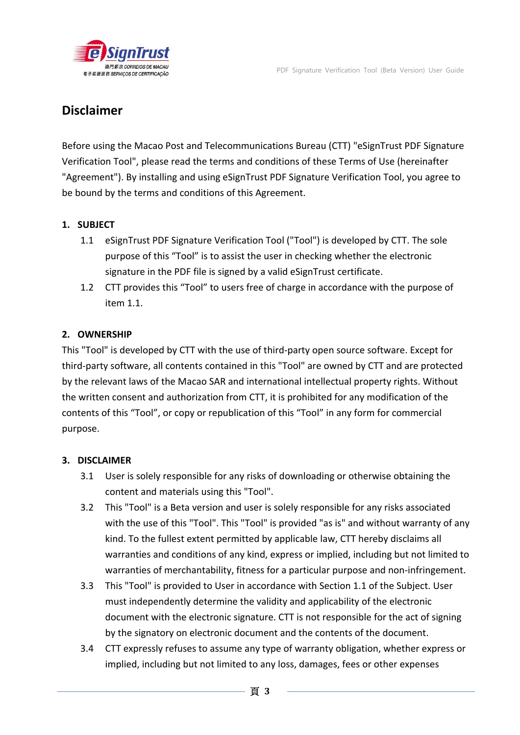

## **Disclaimer**

Before using the Macao Post and Telecommunications Bureau (CTT) "eSignTrust PDF Signature Verification Tool", please read the terms and conditions of these Terms of Use (hereinafter "Agreement"). By installing and using eSignTrust PDF Signature Verification Tool, you agree to be bound by the terms and conditions of this Agreement.

### **1. SUBJECT**

- 1.1 eSignTrust PDF Signature Verification Tool ("Tool") is developed by CTT. The sole purpose of this "Tool" is to assist the user in checking whether the electronic signature in the PDF file is signed by a valid eSignTrust certificate.
- 1.2 CTT provides this "Tool" to users free of charge in accordance with the purpose of item 1.1.

#### **2. OWNERSHIP**

This "Tool" is developed by CTT with the use of third‐party open source software. Except for third‐party software, all contents contained in this "Tool" are owned by CTT and are protected by the relevant laws of the Macao SAR and international intellectual property rights. Without the written consent and authorization from CTT, it is prohibited for any modification of the contents of this "Tool", or copy or republication of this "Tool" in any form for commercial purpose.

#### **3. DISCLAIMER**

- 3.1 User is solely responsible for any risks of downloading or otherwise obtaining the content and materials using this "Tool".
- 3.2 This "Tool" is a Beta version and user is solely responsible for any risks associated with the use of this "Tool". This "Tool" is provided "as is" and without warranty of any kind. To the fullest extent permitted by applicable law, CTT hereby disclaims all warranties and conditions of any kind, express or implied, including but not limited to warranties of merchantability, fitness for a particular purpose and non-infringement.
- 3.3 This "Tool" is provided to User in accordance with Section 1.1 of the Subject. User must independently determine the validity and applicability of the electronic document with the electronic signature. CTT is not responsible for the act of signing by the signatory on electronic document and the contents of the document.
- 3.4 CTT expressly refuses to assume any type of warranty obligation, whether express or implied, including but not limited to any loss, damages, fees or other expenses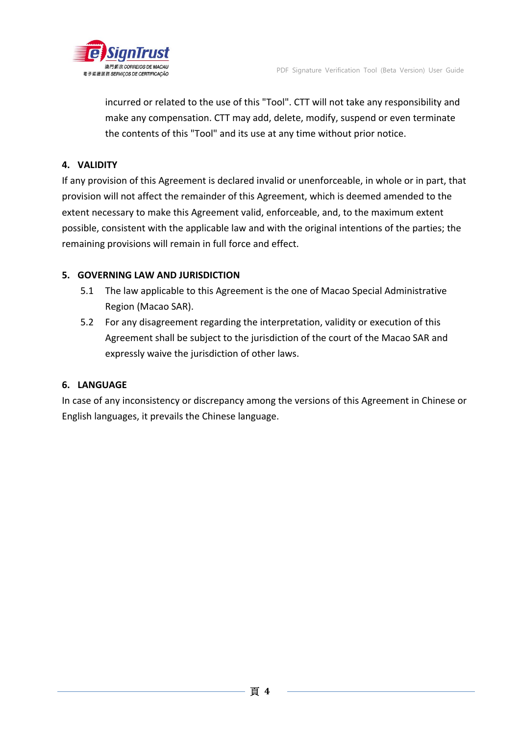

incurred or related to the use of this "Tool". CTT will not take any responsibility and make any compensation. CTT may add, delete, modify, suspend or even terminate the contents of this "Tool" and its use at any time without prior notice.

### **4. VALIDITY**

If any provision of this Agreement is declared invalid or unenforceable, in whole or in part, that provision will not affect the remainder of this Agreement, which is deemed amended to the extent necessary to make this Agreement valid, enforceable, and, to the maximum extent possible, consistent with the applicable law and with the original intentions of the parties; the remaining provisions will remain in full force and effect.

#### **5. GOVERNING LAW AND JURISDICTION**

- 5.1 The law applicable to this Agreement is the one of Macao Special Administrative Region (Macao SAR).
- 5.2 For any disagreement regarding the interpretation, validity or execution of this Agreement shall be subject to the jurisdiction of the court of the Macao SAR and expressly waive the jurisdiction of other laws.

#### **6. LANGUAGE**

In case of any inconsistency or discrepancy among the versions of this Agreement in Chinese or English languages, it prevails the Chinese language.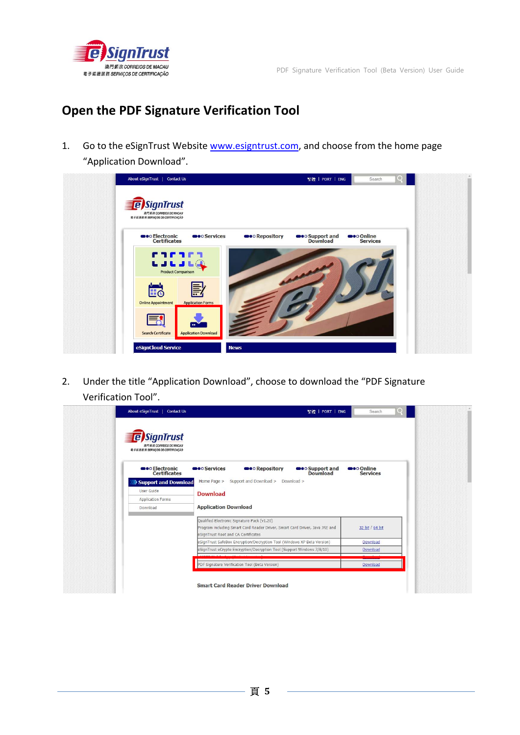

# **Open the PDF Signature Verification Tool**

1. Go to the eSignTrust Website www.esigntrust.com, and choose from the home page "Application Download".

| About eSignTrust  <br><b>Contact Us</b>                                         | 繁體   PORT   ENG                                     | $Q \mid$<br>Search                   |  |
|---------------------------------------------------------------------------------|-----------------------------------------------------|--------------------------------------|--|
| <b>e</b> SignTrust<br>演門郵政 CORREIOS DE MACAU<br>電子認識服務 SERVIÇOS DE CERTIFICAÇÃO |                                                     |                                      |  |
| <b>OO</b> Electronic<br><b>OO</b> Services<br><b>Certificates</b>               | <b>OOO</b> Repository<br>●●○Support and<br>Download | <b>O</b> o Online<br><b>Services</b> |  |
| <b>COCOCO</b><br>LJLJLQ<br><b>Product Comparison</b>                            |                                                     |                                      |  |
| 昆<br>Eo<br><b>Online Appointment</b><br><b>Application Forms</b>                |                                                     |                                      |  |
| $\bullet\bullet$<br><b>Search Certificate</b><br><b>Application Download</b>    |                                                     |                                      |  |
| eSignCloud Service                                                              | <b>News</b>                                         |                                      |  |

2. Under the title "Application Download", choose to download the "PDF Signature Verification Tool".

|                                                                                                                                                                   | 繁體   PORT   ENG                         | Search                               | Q |
|-------------------------------------------------------------------------------------------------------------------------------------------------------------------|-----------------------------------------|--------------------------------------|---|
| <b>SignTrust</b><br>波門郵政 CORREIOS DE MACAU<br>電子認識服務 SERVIÇOS DE CERTIFICAÇÃO                                                                                     |                                         |                                      |   |
| <b>OOO</b> Repository<br><b>OO</b> Electronic<br><b>OO</b> Services<br><b>Certificates</b>                                                                        | <b>Solupport</b> and<br><b>Download</b> | <b>seo Online</b><br><b>Services</b> |   |
| Support and Download > Download ><br>Home Page ><br>>>> Support and Download                                                                                      |                                         |                                      |   |
| User Guide<br><b>Download</b>                                                                                                                                     |                                         |                                      |   |
| <b>Application Forms</b>                                                                                                                                          |                                         |                                      |   |
| <b>Application Download</b><br>Download                                                                                                                           |                                         |                                      |   |
| Qualified Electronic Signature Pack (v1.20)<br>Program including Smart Card Reader Driver, Smart Card Driver, Java JRE and<br>eSignTrust Root and CA Certificates |                                         | 32 bit / 64 bit                      |   |
| eSignTrust SafeBox Encryption/Decryption Tool (Windows XP Beta Version)                                                                                           |                                         | Download                             |   |
| eSignTrust eCrypto Encryption/Decryption Tool (Support Windows 7/8/10)                                                                                            |                                         | Download                             |   |
|                                                                                                                                                                   |                                         |                                      |   |
| PDF Signature Verification Tool (Beta Version)                                                                                                                    |                                         | Download                             |   |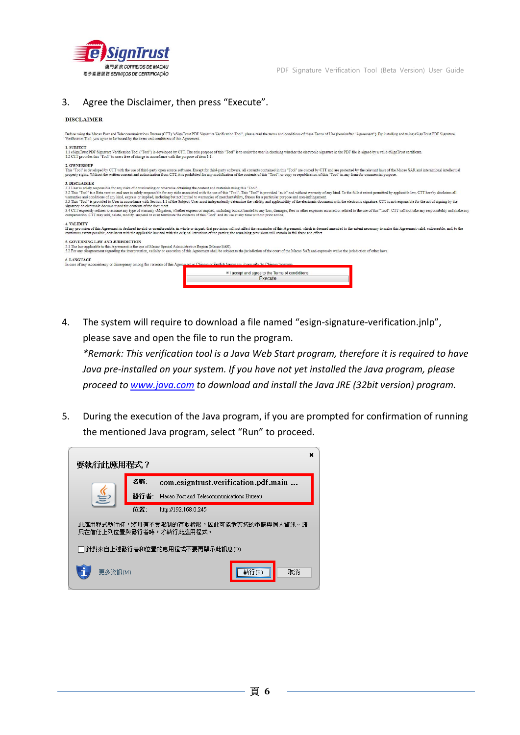

#### 3. Agree the Disclaimer, then press "Execute".

#### **DISCLAIMER**

4. The system will require to download a file named "esign-signature-verification.jnlp", please save and open the file to run the program.

*\*Remark: This verification tool is a Java Web Start program, therefore it is required to have Java pre‐installed on your system. If you have not yet installed the Java program, please proceed to www.java.com to download and install the Java JRE (32bit version) program.* 

5. During the execution of the Java program, if you are prompted for confirmation of running the mentioned Java program, select "Run" to proceed.

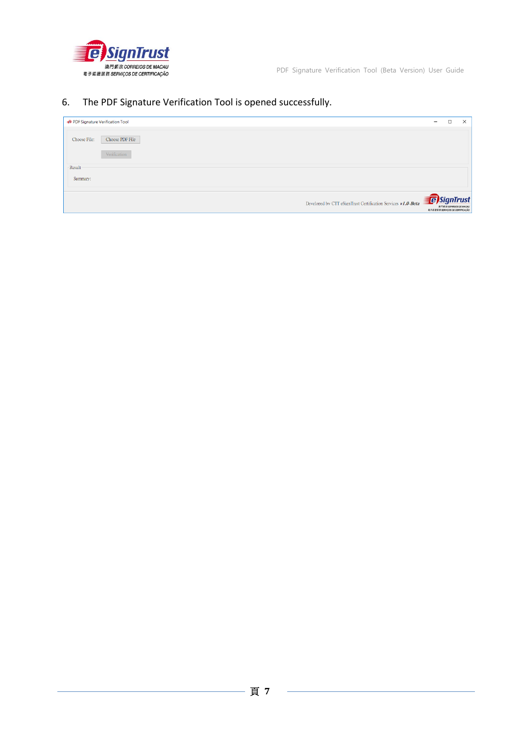

### 6. The PDF Signature Verification Tool is opened successfully.

| PDF Signature Verification Tool                              | $\overline{\phantom{0}}$                              | □                      | $\times$ |
|--------------------------------------------------------------|-------------------------------------------------------|------------------------|----------|
| Choose PDF File<br>Choose File:                              |                                                       |                        |          |
| Verification                                                 |                                                       |                        |          |
| -Result-                                                     |                                                       |                        |          |
| Summary:                                                     |                                                       |                        |          |
| Developed by CTT eSignTrust Certification Services v1.0-Beta | <b>E</b> SignTrust<br>電子認證服務 SERVIÇOS DE CERTIFICAÇÃO | 演門都政 CORREIOS DE MACAU |          |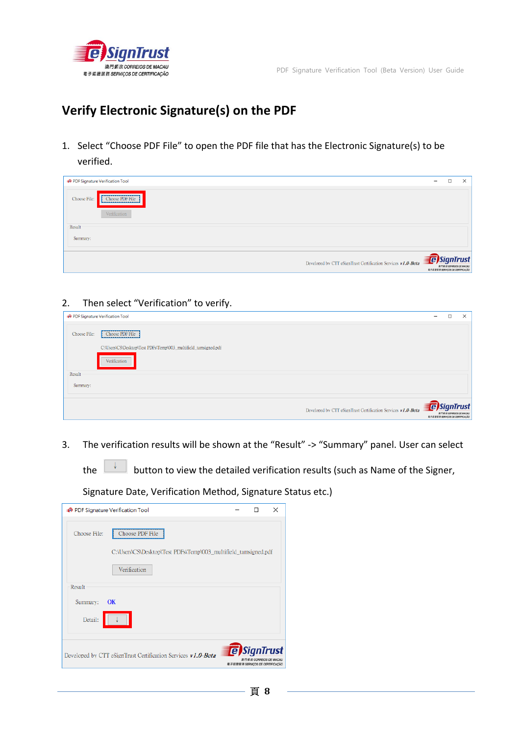

# **Verify Electronic Signature(s) on the PDF**

1. Select "Choose PDF File" to open the PDF file that has the Electronic Signature(s) to be verified.

| PDF Signature Verification Tool                              | $\overline{\phantom{a}}$ | $\Box$                                                    | $\times$ |
|--------------------------------------------------------------|--------------------------|-----------------------------------------------------------|----------|
| Choose PDF File<br>Choose File:<br>Verification              |                          |                                                           |          |
| -Result                                                      |                          |                                                           |          |
| Summary:                                                     |                          |                                                           |          |
| Developed by CTT eSignTrust Certification Services v1.0-Beta | <b>B</b> SignTrust       | 演門都政 CORREIOS DE MACAU<br>電子認證服務 SERVIÇOS DE CERTIFICAÇÃO |          |

### 2. Then select "Verification" to verify.

| PDF Signature Verification Tool |                                                                 | -                                                     | $\Box$                 | $\times$ |
|---------------------------------|-----------------------------------------------------------------|-------------------------------------------------------|------------------------|----------|
| Choose File:                    | Choose PDF File                                                 |                                                       |                        |          |
|                                 | C:\Users\CS\Desktop\Test PDFs\Temp\003_multifield_tamsigned.pdf |                                                       |                        |          |
|                                 | Verification                                                    |                                                       |                        |          |
| Result                          |                                                                 |                                                       |                        |          |
| Summary:                        |                                                                 |                                                       |                        |          |
|                                 |                                                                 |                                                       |                        |          |
|                                 | Developed by CTT eSignTrust Certification Services v1.0-Beta    | <b>E</b> SignTrust<br>電子認證服務 SERVIÇOS DE CERTIFICAÇÃO | 澳門郵政 CORREIOS DE MACAU |          |

3. The verification results will be shown at the "Result" ‐> "Summary" panel. User can select

the  $\begin{array}{|c|c|c|}\n\hline\n\end{array}$  button to view the detailed verification results (such as Name of the Signer,

Signature Date, Verification Method, Signature Status etc.)

|                    | → PDF Signature Verification Tool                               |                                                                               | $\times$ |
|--------------------|-----------------------------------------------------------------|-------------------------------------------------------------------------------|----------|
| Choose File:       | Choose PDF File                                                 |                                                                               |          |
|                    | C:\Users\CS\Desktop\Test PDFs\Temp\003 multifield tamsigned.pdf |                                                                               |          |
|                    | Verification                                                    |                                                                               |          |
| Result<br>Summary: | $\alpha$                                                        |                                                                               |          |
| Detail:            |                                                                 |                                                                               |          |
|                    | Developed by CTT eSignTrust Certification Services v1.0-Beta    | <b>E</b> SignTrust<br>EL CORREIOS DE MACAU<br>電子認證服務 SERVICOS DE CERTIFICAÇÃO |          |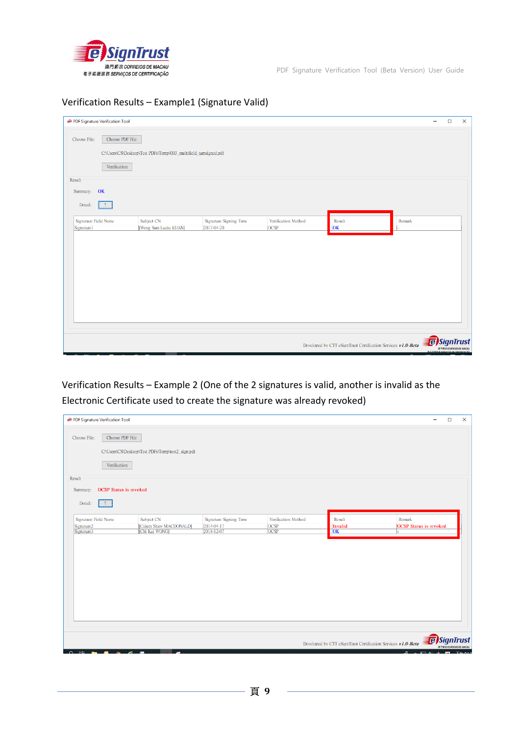

PDF Signature Verification Tool (Beta Version) User Guide

### Verification Results – Example1 (Signature Valid)

| PDF Signature Verification Tool    |                                 |                                                                 |                                      |                                    |                                                              |        | $\overline{\phantom{0}}$ | $\Box$                 | $\times$ |
|------------------------------------|---------------------------------|-----------------------------------------------------------------|--------------------------------------|------------------------------------|--------------------------------------------------------------|--------|--------------------------|------------------------|----------|
| Choose File:                       | Choose PDF File<br>Verification | C:\Users\CS\Desktop\Test PDFs\Temp\003_multifield_tamsigned.pdf |                                      |                                    |                                                              |        |                          |                        |          |
| Result                             |                                 |                                                                 |                                      |                                    |                                                              |        |                          |                        |          |
| Summary: OK                        |                                 |                                                                 |                                      |                                    |                                                              |        |                          |                        |          |
| Detail:<br><b>A</b>                |                                 |                                                                 |                                      |                                    |                                                              |        |                          |                        |          |
| Signature Field Name<br>Signature1 |                                 | Subject CN<br>[Weng Sam Luzia KUAN]                             | Signature Signing Time<br>2017-04-20 | Verification Method<br><b>OCSP</b> | Result<br> OK                                                | Remark |                          |                        |          |
|                                    |                                 |                                                                 |                                      |                                    |                                                              |        |                          |                        |          |
|                                    |                                 |                                                                 |                                      |                                    |                                                              |        |                          |                        |          |
|                                    |                                 |                                                                 |                                      |                                    |                                                              |        |                          |                        |          |
|                                    |                                 |                                                                 |                                      |                                    |                                                              |        |                          |                        |          |
|                                    |                                 |                                                                 |                                      |                                    |                                                              |        |                          |                        |          |
|                                    |                                 |                                                                 |                                      |                                    |                                                              |        |                          |                        |          |
|                                    |                                 |                                                                 |                                      |                                    | Developed by CTT eSignTrust Certification Services v1.0-Beta |        | <b>E</b> SignTrust       | 渡門都政 CORREIOS DE MACAL |          |

Verification Results – Example 2 (One of the 2 signatures is valid, another is invalid as the Electronic Certificate used to create the signature was already revoked)

| PDF Signature Verification Tool |                                                   |                          |                            |                                                              | $\Box$<br>$\times$                           |
|---------------------------------|---------------------------------------------------|--------------------------|----------------------------|--------------------------------------------------------------|----------------------------------------------|
| Choose PDF File<br>Choose File: |                                                   |                          |                            |                                                              |                                              |
|                                 | C:\Users\CS\Desktop\Test PDFs\Temp\test2_sign.pdf |                          |                            |                                                              |                                              |
| Verification                    |                                                   |                          |                            |                                                              |                                              |
| <b>Result</b>                   |                                                   |                          |                            |                                                              |                                              |
| Summary: OCSP Status is revoked |                                                   |                          |                            |                                                              |                                              |
| Detail:                         |                                                   |                          |                            |                                                              |                                              |
| Signature Field Name            | Subject CN                                        | Signature Signing Time   | Verification Method        | Result                                                       | Remark                                       |
| Signature2<br>Signature3        | [Calum Shaw MACDONALD]<br>[Chi Kai WONG]          | 2014-04-17<br>2018-12-07 | <b>OCSP</b><br><b>OCSP</b> | Invalid<br>OK                                                | <b>OCSP</b> Status is revoked                |
|                                 |                                                   |                          |                            |                                                              |                                              |
|                                 |                                                   |                          |                            |                                                              |                                              |
|                                 |                                                   |                          |                            |                                                              |                                              |
|                                 |                                                   |                          |                            |                                                              |                                              |
|                                 |                                                   |                          |                            |                                                              |                                              |
|                                 |                                                   |                          |                            |                                                              |                                              |
|                                 |                                                   |                          |                            |                                                              |                                              |
|                                 |                                                   |                          |                            |                                                              |                                              |
|                                 |                                                   |                          |                            |                                                              |                                              |
|                                 |                                                   |                          |                            | Developed by CTT eSignTrust Certification Services v1.0-Beta | <b>E</b> SignTrust<br>澳門郵政 CORREIOS DE MACAU |